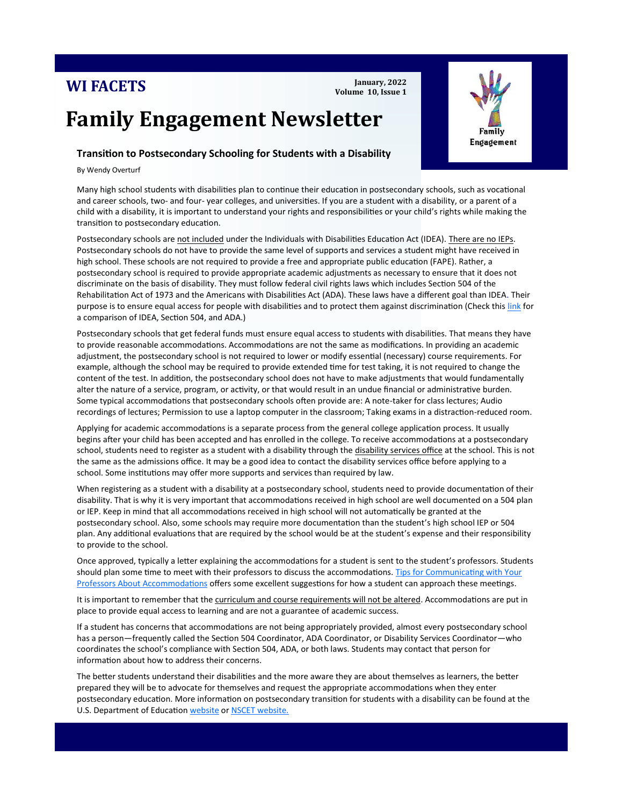## **WI FACETS**

**January, 2022 Volume 10, Issue 1**

# **Family Engagement Newsletter**

## **Transition to Postsecondary Schooling for Students with a Disability**

By Wendy Overturf

l

Many high school students with disabilities plan to continue their education in postsecondary schools, such as vocational and career schools, two- and four- year colleges, and universities. If you are a student with a disability, or a parent of a child with a disability, it is important to understand your rights and responsibilities or your child's rights while making the transition to postsecondary education.

Postsecondary schools are not included under the Individuals with Disabilities Education Act (IDEA). There are no IEPs. Postsecondary schools do not have to provide the same level of supports and services a student might have received in high school. These schools are not required to provide a free and appropriate public education (FAPE). Rather, a postsecondary school is required to provide appropriate academic adjustments as necessary to ensure that it does not discriminate on the basis of disability. They must follow federal civil rights laws which includes Section 504 of the Rehabilitation Act of 1973 and the Americans with Disabilities Act (ADA). These laws have a different goal than IDEA. Their purpose is to ensure equal access for people with disabilities and to protect them against discrimination (Check this [link](https://www.understood.org/articles/en/at-a-glance-which-laws-do-what) for a comparison of IDEA, Section 504, and ADA.)

Postsecondary schools that get federal funds must ensure equal access to students with disabilities. That means they have to provide reasonable accommodations. Accommodations are not the same as modifications. In providing an academic adjustment, the postsecondary school is not required to lower or modify essential (necessary) course requirements. For example, although the school may be required to provide extended time for test taking, it is not required to change the content of the test. In addition, the postsecondary school does not have to make adjustments that would fundamentally alter the nature of a service, program, or activity, or that would result in an undue financial or administrative burden. Some typical accommodations that postsecondary schools often provide are: A note-taker for class lectures; Audio recordings of lectures; Permission to use a laptop computer in the classroom; Taking exams in a distraction-reduced room.

Applying for academic accommodations is a separate process from the general college application process. It usually begins after your child has been accepted and has enrolled in the college. To receive accommodations at a postsecondary school, students need to register as a student with a disability through the disability services office at the school. This is not the same as the admissions office. It may be a good idea to contact the disability services office before applying to a school. Some institutions may offer more supports and services than required by law.

When registering as a student with a disability at a postsecondary school, students need to provide documentation of their disability. That is why it is very important that accommodations received in high school are well documented on a 504 plan or IEP. Keep in mind that all accommodations received in high school will not automatically be granted at the postsecondary school. Also, some schools may require more documentation than the student's high school IEP or 504 plan. Any additional evaluations that are required by the school would be at the student's expense and their responsibility to provide to the school.

Once approved, typically a letter explaining the accommodations for a student is sent to the student's professors. Students should plan some time to meet with their professors to discuss the accommodations. Tips for Communicating with Your [Professors About Accommodations](https://www.clayton.edu/disability/docs/tips-for-communicating-with-your-professors.pdf) offers some excellent suggestions for how a student can approach these meetings.

It is important to remember that the curriculum and course requirements will not be altered. Accommodations are put in place to provide equal access to learning and are not a guarantee of academic success.

If a student has concerns that accommodations are not being appropriately provided, almost every postsecondary school has a person—frequently called the Section 504 Coordinator, ADA Coordinator, or Disability Services Coordinator—who coordinates the school's compliance with Section 504, ADA, or both laws. Students may contact that person for information about how to address their concerns.

The better students understand their disabilities and the more aware they are about themselves as learners, the better prepared they will be to advocate for themselves and request the appropriate accommodations when they enter postsecondary education. More information on postsecondary transition for students with a disability can be found at the U.S. Department of Education [website](https://www2.ed.gov/about/offices/list/ocr/transition.html) or [NSCET website.](http://ncset.org/topics/psesupports/faqs.asp?topic=5)

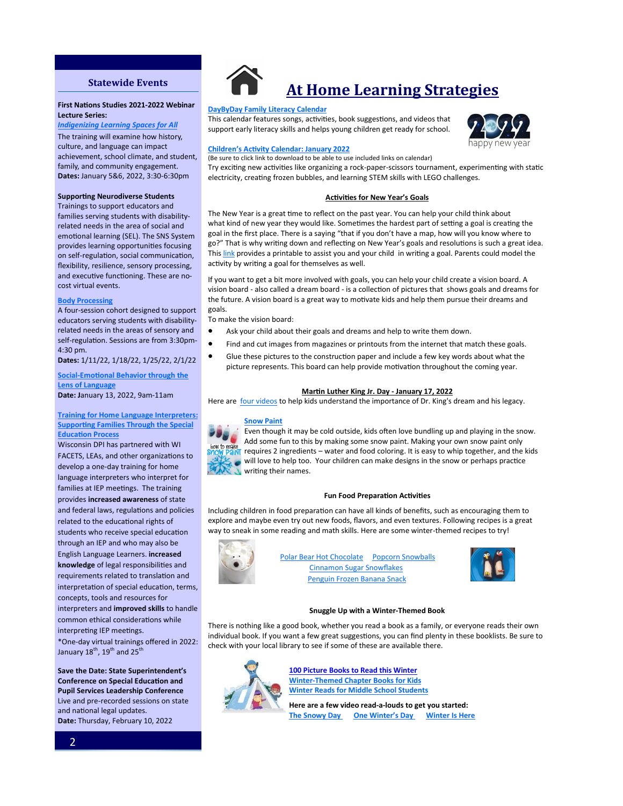### **Statewide Events**

#### **Advocacy for Change [First Nations Studies 20](http://www.familyvoicesofwisconsin.com/trainings/afc/)21-2022 Webinar Lecture Series: Lecture Series:**  $\mathbf{r} = \mathbf{r} \cdot \mathbf{r}$

**Indigenizing Learning Spaces for All** The training will examine how history, culture, and language can impact achievement, school climate, and student, family, and community engagement. **Dates: January 5&6, 2022, 3:30-6:30pm** 

#### **Supporting Neurodiverse Students**

**Annual Conference** [Trainings to support e](https://www.asw4autism.org/event-cal/30th-annual-conference/)ducators and families serving students with disabilityrelated needs in the area of social and emotional learning (SEL). The SNS System<br>provides learning appertunities focusing provides redning opportunities rocasing<br>on self-regulation, social communication, Emotional Well-Being." flexibility, resilience, sensory processing, **Date:** Apple 12-13, 2019 and executive functioning. These are no-<br>and virtual cunsts cost virtual events. provides learning opportunities focusing

#### **[Body Processing](https://cesa1.app.neoncrm.com/np/clients/cesa1/event.jsp?event=2779&)**

A four-session cohort designed to support [educators ser](http://www.uww.edu/ce/camps/additional/ecc)ving students with disabilityrelated needs in the areas of sensory and self-regulation. Sessions are from 3:30pm- $4.30 \text{ pm}.$ 4:30 pm.

**Dates:** 1/11/22, 1/18/22, 1/25/22, 2/1/22

**<u>Social-Emotional Behavior through the</u>** Topics." The speaker is Robin Fox and she **[Lens of Language](https://cesa1.app.neoncrm.com/np/clients/cesa1/event.jsp?event=2764&) Date: J**anuary 13, 2022, 9am-11am

#### **[Training for Home Language Interpreters:](https://wifacets.org/training/2021-22-connections-home-language-interpreters) Supporting Families Through the Special Professional development plans. On the plans of the control of the control of the control of the control of the control of the control of the control of the control of the control of the control of the control of the cont**

Wisconsin DPI has partnered with WI FACETS, LEAs, and other organizations to develop a one-day training for home ecome process, and winning recoverse interpretent for anguage interpreter families at IEP meetings. The training provides **increased awareness** of state related to the educational rights of students who receive special education through an IEP and who may also be English Language Learners. **increased** knowledge of legal responsibilities and requirements related to translation and **interpretation of special education, terms,** mediated in option, whereastic, interpreters and **improved skills** to handle common ethical considerations while **Disabilities** IEP meetings. \*One-day virtual trainings offered in 2022:<br>  $\frac{1}{2}$ 2, *Transforming the Impossible to*  January 18th, 19th and 25th and federal laws, regulations and policies

**Save the Date: State Superintendent's Conference on Special Education and Pupil Services Leadership Conference** Live and pre-recorded sessions on state and national legal updates. **Date:** Thursday, February 10, 2022



## **At Home Learning Strategies**

#### **[DayByDay Family Literacy Calendar](http://www.daybydayoh.org/january)**

This calendar features songs, activities, book suggestions, and videos that support early literacy skills and helps young children get ready for school.



#### **Children'[s Activity Calendar: January 2022](https://ideas.demco.com/blog/childrens-activity-calendar-january-2022/)**

(Be sure to click link to download to be able to use included links on calendar)

Try exciting new activities like organizing a rock-paper-scissors tournament, experimenting with static electricity, creating frozen bubbles, and learning STEM skills with LEGO challenges.

#### **Activities for New Year's Goals**

The New Year is a great time to reflect on the past year. You can help your child think about what kind of new year they would like. Sometimes the hardest part of setting a goal is creating the goal in the first place. There is a saying "that if you don't have a map, how will you know where to go?" That is why writing down and reflecting on New Year's goals and resolutions is such a great idea. This [link](https://www.thebestideasforkids.com/wp-content/uploads/2016/12/New-Years-Resolution-Printable.jpg) provides a printable to assist you and your child in writing a goal. Parents could model the activity by writing a goal for themselves as well.

If you want to get a bit more involved with goals, you can help your child create a vision board. A vision board - also called a dream board - is a collection of pictures that shows goals and dreams for the future. A vision board is a great way to motivate kids and help them pursue their dreams and goals.

To make the vision board:

- Ask your child about their goals and dreams and help to write them down.
- Find and cut images from magazines or printouts from the internet that match these goals.
- Glue these pictures to the construction paper and include a few key words about what the picture represents. This board can help provide motivation throughout the coming year.

#### **Martin Luther King Jr. Day - January 17, 2022**

Here are [four videos](https://www.freetobekids.com/blogs/news/kid-friendly-videos-about-martin-luther-king-jr) to help kids understand the importance of Dr. King's dream and his legacy.

#### **[Snow Paint](https://www.thebestideasforkids.com/snow-paint/)**



Even though it may be cold outside, kids often love bundling up and playing in the snow. Add some fun to this by making some snow paint. Making your own snow paint only  $\frac{d}{d}$  requires 2 ingredients – water and food coloring. It is easy to whip together, and the kids will love to help too. Your children can make designs in the snow or perhaps practice writing their names.

#### **Fun Food Preparation Activities**

Including children in food preparation can have all kinds of benefits, such as encouraging them to explore and maybe even try out new foods, flavors, and even textures. Following recipes is a great way to sneak in some reading and math skills. Here are some winter-themed recipes to try!



**Polar Bear Hot Chocolate** Popcorn Snowballs [Cinnamon Sugar Snowflakes](http://happyhooligans.ca/cinnamon-sugar-snowflakes/) [Penguin Frozen Banana Snack](http://www.readingconfetti.com/2014/01/sledding-penguins-frozen-banana-snack.html)



#### **Snuggle Up with a Winter-Themed Book**

There is nothing like a good book, whether you read a book as a family, or everyone reads their own individual book. If you want a few great suggestions, you can find plenty in these booklists. Be sure to check with your local library to see if some of these are available there.



**100 [Picture Books to Read this Winter](https://maryhannawilson.com/100-picture-books-to-read-this-winter/)  Winter-[Themed Chapter Books for Kids](https://www.maryhannawilson.com/winter-themed-chapter-books/) [Winter Reads for Middle School Students](https://www.maryhannawilson.com/winter-books-middle-school/)**

**Here are a few video read-a-louds to get you started: [The Snowy Day](https://www.youtube.com/watch?v=yFZKlNU39hE) [One Winter](https://www.youtube.com/watch?v=YBKfbo60jlI)'s Day [Winter Is Here](https://www.youtube.com/watch?v=anByRvtTrDE)**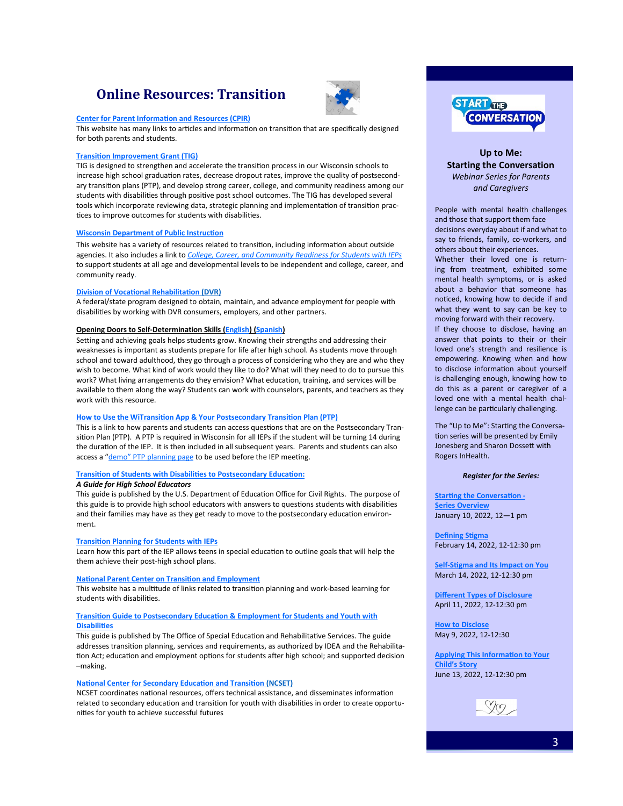## **Online Resources: Transition**



#### **[Center for Parent Information and Resources \(CPIR\)](https://www.parentcenterhub.org/?s=post+secondary+transition)**

This website has many links to articles and information on transition that are specifically designed for both parents and students.

#### **[Transition Improvement Grant \(TIG\)](https://www.witig.org/)**

TIG is designed to strengthen and accelerate the transition process in our Wisconsin schools to increase high school graduation rates, decrease dropout rates, improve the quality of postsecondary transition plans (PTP), and develop strong career, college, and community readiness among our students with disabilities through positive post school outcomes. The TIG has developed several tools which incorporate reviewing data, strategic planning and implementation of transition practices to improve outcomes for students with disabilities.

#### **[Wisconsin Department of Public Instruction](https://dpi.wi.gov/sped/topics/transition)**

This website has a variety of resources related to transition, including information about outside agencies. It also includes a link to *[College, Career, and Community Readiness for Students with IEPs](https://dpi.wi.gov/sped/program/id/ccr-readiness)* to support students at all age and developmental levels to be independent and college, career, and community ready.

#### **[Division of Vocational Rehabilitation](https://dwd.wisconsin.gov/dvr/about/) (DVR)**

A federal/state program designed to obtain, maintain, and advance employment for people with disabilities by working with DVR consumers, employers, and other partners.

#### **Opening Doors to Self-Determination Skills ([English\)](http://witig.org/wstidata/resources/self-determination-english-fillable_1409758661.pdf) [\(Spanish\)](http://witig.org/wstidata/resources/self-determination-spanish-fillable_1409758611.pdf)**

Setting and achieving goals helps students grow. Knowing their strengths and addressing their weaknesses is important as students prepare for life after high school. As students move through school and toward adulthood, they go through a process of considering who they are and who they wish to become. What kind of work would they like to do? What will they need to do to pursue this work? What living arrangements do they envision? What education, training, and services will be available to them along the way? Students can work with counselors, parents, and teachers as they work with this resource.

#### **[How to Use the WiTransition App & Your Postsecondary Transition Plan \(PTP\)](https://dpi.wi.gov/sites/default/files/imce/sped/pdf/tran-ptp-transition-planning-app.pdf)**

This is a link to how parents and students can access questions that are on the Postsecondary Transition Plan (PTP). A PTP is required in Wisconsin for all IEPs if the student will be turning 14 during the duration of the IEP. It is then included in all subsequent years. Parents and students can also access a "demo" [PTP planning page](https://www.witransition.com/) to be used before the IEP meeting.

#### **[Transition of Students with Disabilities to Postsecondary Education:](https://www2.ed.gov/about/offices/list/ocr/transitionguide.html)**

#### *A Guide for High School Educators*

This guide is published by the U.S. Department of Education Office for Civil Rights. The purpose of this guide is to provide high school educators with answers to questions students with disabilities and their families may have as they get ready to move to the postsecondary education environment.

#### **[Transition Planning for Students with IEPs](https://www.greatschools.org/gk/articles/transition-planning-for-students-with-ieps/)**

Learn how this part of the IEP allows teens in special education to outline goals that will help the them achieve their post-high school plans.

#### **[National Parent Center on Transition and Employment](https://www.pacer.org/transition/)**

This website has a multitude of links related to transition planning and work-based learning for students with disabilities.

#### **[Transition Guide to Postsecondary Education & Employment for Students and Youth with](https://www2.ed.gov/about/offices/list/osers/transition/products/postsecondary-transition-guide-may-2017.pdf?utm_content=&utm_medium=email&utm_name=&utm_source=govdelivery&utm_term)  [Disabilities](https://www2.ed.gov/about/offices/list/osers/transition/products/postsecondary-transition-guide-may-2017.pdf?utm_content=&utm_medium=email&utm_name=&utm_source=govdelivery&utm_term)**

This guide is published by The Office of Special Education and Rehabilitative Services. The guide addresses transition planning, services and requirements, as authorized by IDEA and the Rehabilitation Act; education and employment options for students after high school; and supported decision –making.

#### **[National Center for Secondary Education and Transition](http://ncset.org/) (NCSET)**

NCSET coordinates national resources, offers technical assistance, and disseminates information related to secondary education and transition for youth with disabilities in order to create opportunities for youth to achieve successful futures



### **Up to Me: Starting the Conversation** *Webinar Series for Parents and Caregivers*

People with mental health challenges and those that support them face decisions everyday about if and what to say to friends, family, co-workers, and others about their experiences.

Whether their loved one is returning from treatment, exhibited some mental health symptoms, or is asked about a behavior that someone has noticed, knowing how to decide if and what they want to say can be key to moving forward with their recovery.

If they choose to disclose, having an answer that points to their or their loved one's strength and resilience is empowering. Knowing when and how to disclose information about yourself is challenging enough, knowing how to do this as a parent or caregiver of a loved one with a mental health challenge can be particularly challenging.

The "Up to Me": Starting the Conversation series will be presented by Emily Jonesberg and Sharon Dossett with Rogers InHealth.

#### *Register for the Series:*

**[Starting the Conversation](https://attendee.gotowebinar.com/register/2213154598482817295) - [Series Overview](https://attendee.gotowebinar.com/register/2213154598482817295)** January 10, 2022, 12—1 pm

**[Defining Stigma](https://attendee.gotowebinar.com/register/3883339149355689228)** February 14, 2022, 12-12:30 pm

**Self-[Stigma and Its Impact on You](https://attendee.gotowebinar.com/register/2850350174124903952)** March 14, 2022, 12-12:30 pm

**[Different Types of Disclosure](https://attendee.gotowebinar.com/register/3189758418505742862)** April 11, 2022, 12-12:30 pm

**[How to Disclose](https://attendee.gotowebinar.com/register/580349044956463119)** May 9, 2022, 12-12:30

**[Applying This Information to Your](https://attendee.gotowebinar.com/register/285631550201019664)  Child'[s Story](https://attendee.gotowebinar.com/register/285631550201019664)** June 13, 2022, 12-12:30 pm

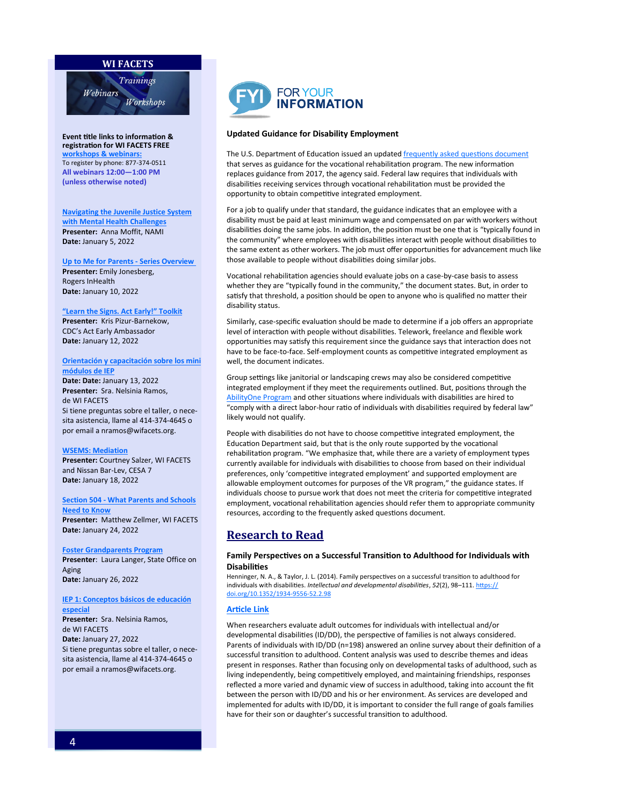#### **WI FACETS**



**Event title links to information [&](http://www.wifacets.org/events)  registration for WI FACETS FREE [workshops & webinars:](http://www.wifacets.org/events)**  To register by phone: 877-374-0511 **All webinars 12:00—1:00 PM (unless otherwise noted)**

**[Navigating the Juvenile Justice System](https://wifacets.org/events/event/navigating-juvenile-justice-system-when-you-have-mental-health-challenges)  [with Mental Health Challenges](https://wifacets.org/events/event/navigating-juvenile-justice-system-when-you-have-mental-health-challenges) Presenter:** Anna Moffit, NAMI **Date:** January 5, 2022

**[Up to Me for Parents](https://wifacets.org/events/event/me-starting-conversation-series-overview) - Series Overview Presenter:** Emily Jonesberg, Rogers InHealth **Date:** January 10, 2022

#### **"[Learn the Signs. Act Early!](https://wifacets.org/events/event/%E2%80%9Clearn-signs-act-early%E2%80%9D-toolkit)" Toolkit**

**Presenter:** Kris Pizur-Barnekow, CDC's Act Early Ambassador **Date:** January 12, 2022

#### **[Orientación y capacitación sobre los mini](https://wifacets.org/events/event/iep-mini-modules-training-orientation-spanish)  [módulos de IEP](https://wifacets.org/events/event/iep-mini-modules-training-orientation-spanish)**

**Date: Date:** January 13, 2022 **Presenter:** Sra. Nelsinia Ramos, de WI FACETS Si tiene preguntas sobre el taller, o necesita asistencia, llame al 414-374-4645 o por email a nramos@wifacets.org.

#### **[WSEMS: Mediation](https://wifacets.org/events/event/wsems-mediation-9)**

**Presenter:** Courtney Salzer, WI FACETS and Nissan Bar-Lev, CESA 7 **Date:** January 18, 2022

#### **Section 504 - [What Parents and Schools](https://wifacets.org/events/event/section-504-what-parents-and-schools-need-know)**

**[Need to Know](https://wifacets.org/events/event/section-504-what-parents-and-schools-need-know) Presenter:** Matthew Zellmer, WI FACETS **Date:** January 24, 2022

#### **[Foster Grandparents Program](https://wifacets.org/events/event/foster-grandparents-program)**

**Presenter**: Laura Langer, State Office on Aging **Date:** January 26, 2022

#### **[IEP 1: Conceptos básicos de educación](https://wifacets.org/events/event/iep-1-special-education-basics-spanish)  [especial](https://wifacets.org/events/event/iep-1-special-education-basics-spanish)**

**Presenter:** Sra. Nelsinia Ramos, de WI FACETS **Date:** January 27, 2022 Si tiene preguntas sobre el taller, o necesita asistencia, llame al 414-374-4645 o por email a nramos@wifacets.org.



#### **Updated Guidance for Disability Employment**

The U.S. Department of Education issued an updated [frequently asked questions document](https://rsa.ed.gov/sites/default/files/subregulatory/RSA-FAQ-22-02.docx)  that serves as guidance for the vocational rehabilitation program. The new information replaces guidance from 2017, the agency said. Federal law requires that individuals with disabilities receiving services through vocational rehabilitation must be provided the opportunity to obtain competitive integrated employment.

For a job to qualify under that standard, the guidance indicates that an employee with a disability must be paid at least minimum wage and compensated on par with workers without disabilities doing the same jobs. In addition, the position must be one that is "typically found in the community" where employees with disabilities interact with people without disabilities to the same extent as other workers. The job must offer opportunities for advancement much like those available to people without disabilities doing similar jobs.

Vocational rehabilitation agencies should evaluate jobs on a case-by-case basis to assess whether they are "typically found in the community," the document states. But, in order to satisfy that threshold, a position should be open to anyone who is qualified no matter their disability status.

Similarly, case-specific evaluation should be made to determine if a job offers an appropriate level of interaction with people without disabilities. Telework, freelance and flexible work opportunities may satisfy this requirement since the guidance says that interaction does not have to be face-to-face. Self-employment counts as competitive integrated employment as well, the document indicates.

Group settings like janitorial or landscaping crews may also be considered competitive integrated employment if they meet the requirements outlined. But, positions through the [AbilityOne Program](https://www.abilityone.com/ability-one-program) and other situations where individuals with disabilities are hired to "comply with a direct labor-hour ratio of individuals with disabilities required by federal law" likely would not qualify.

People with disabilities do not have to choose competitive integrated employment, the Education Department said, but that is the only route supported by the vocational rehabilitation program. "We emphasize that, while there are a variety of employment types currently available for individuals with disabilities to choose from based on their individual preferences, only 'competitive integrated employment' and supported employment are allowable employment outcomes for purposes of the VR program," the guidance states. If individuals choose to pursue work that does not meet the criteria for competitive integrated employment, vocational rehabilitation agencies should refer them to appropriate community resources, according to the frequently asked questions document.

### **Research to Read**

#### **Family Perspectives on a Successful Transition to Adulthood for Individuals with Disabilities**

Henninger, N. A., & Taylor, J. L. (2014). Family perspectives on a successful transition to adulthood for individuals with disabilities. *Intellectual and developmental disabilities*, *52*(2), 98–111. [https://](https://doi.org/10.1352/1934-9556-52.2.98) [doi.org/10.1352/1934](https://doi.org/10.1352/1934-9556-52.2.98)-9556-52.2.98

#### **[Article Link](https://www.ncbi.nlm.nih.gov/pmc/articles/PMC4128390/)**

When researchers evaluate adult outcomes for individuals with intellectual and/or developmental disabilities (ID/DD), the perspective of families is not always considered. Parents of individuals with ID/DD (n=198) answered an online survey about their definition of a successful transition to adulthood. Content analysis was used to describe themes and ideas present in responses. Rather than focusing only on developmental tasks of adulthood, such as living independently, being competitively employed, and maintaining friendships, responses reflected a more varied and dynamic view of success in adulthood, taking into account the fit between the person with ID/DD and his or her environment. As services are developed and implemented for adults with ID/DD, it is important to consider the full range of goals families have for their son or daughter's successful transition to adulthood.